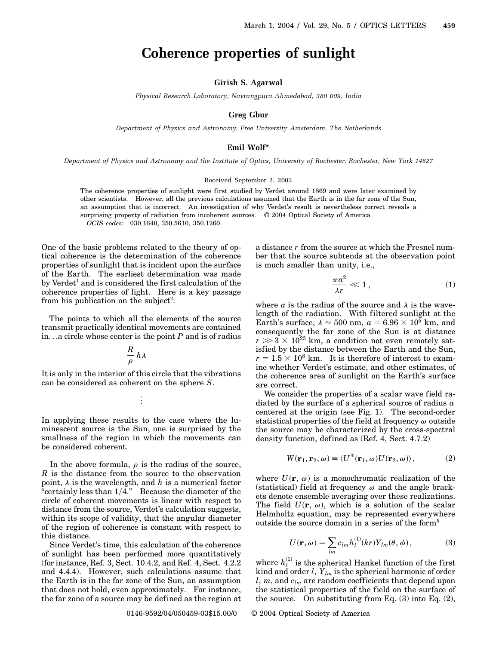# **Coherence properties of sunlight**

### **Girish S. Agarwal**

*Physical Research Laboratory, Navrangpura Ahmedabad, 380 009, India*

## **Greg Gbur**

*Department of Physics and Astronomy, Free University Amsterdam, The Netherlands*

# **Emil Wolf\***

*Department of Physics and Astronomy and the Institute of Optics, University of Rochester, Rochester, New York 14627*

#### Received September 2, 2003

The coherence properties of sunlight were first studied by Verdet around 1869 and were later examined by other scientists. However, all the previous calculations assumed that the Earth is in the far zone of the Sun, an assumption that is incorrect. An investigation of why Verdet's result is nevertheless correct reveals a surprising property of radiation from incoherent sources. © 2004 Optical Society of America *OCIS codes:* 030.1640, 350.5610, 350.1260.

One of the basic problems related to the theory of optical coherence is the determination of the coherence properties of sunlight that is incident upon the surface of the Earth. The earliest determination was made by Verdet<sup>1</sup> and is considered the first calculation of the coherence properties of light. Here is a key passage from his publication on the subject<sup>2</sup>:

The points to which all the elements of the source transmit practically identical movements are contained in...a circle whose center is the point *P* and is of radius

$$
\frac{R}{\rho}\,h\lambda
$$

It is only in the interior of this circle that the vibrations can be considered as coherent on the sphere *S*.

$$
\frac{1}{2}
$$

In applying these results to the case where the luminescent source is the Sun, one is surprised by the smallness of the region in which the movements can be considered coherent.

In the above formula,  $\rho$  is the radius of the source, *R* is the distance from the source to the observation point,  $\lambda$  is the wavelength, and  $h$  is a numerical factor "certainly less than 14." Because the diameter of the circle of coherent movements is linear with respect to distance from the source, Verdet's calculation suggests, within its scope of validity, that the angular diameter of the region of coherence is constant with respect to this distance.

Since Verdet's time, this calculation of the coherence of sunlight has been performed more quantitatively (for instance, Ref. 3, Sect. 10.4.2, and Ref. 4, Sect. 4.2.2 and 4.4.4). However, such calculations assume that the Earth is in the far zone of the Sun, an assumption that does not hold, even approximately. For instance, the far zone of a source may be defined as the region at  $\pi a^2$  $\frac{du}{\lambda r} \ll 1,$  (1)

a distance *r* from the source at which the Fresnel number that the source subtends at the observation point

is much smaller than unity, i.e.,

where  $a$  is the radius of the source and  $\lambda$  is the wavelength of the radiation. With filtered sunlight at the Earth's surface,  $\lambda \approx 500$  nm,  $a = 6.96 \times 10^5$  km, and consequently the far zone of the Sun is at distance  $r \gg 3 \times 10^{23}$  km, a condition not even remotely satisfied by the distance between the Earth and the Sun,  $r = 1.5 \times 10^8$  km. It is therefore of interest to examine whether Verdet's estimate, and other estimates, of the coherence area of sunlight on the Earth's surface are correct.

We consider the properties of a scalar wave field radiated by the surface of a spherical source of radius *a* centered at the origin (see Fig. 1). The second-order statistical properties of the field at frequency  $\omega$  outside the source may be characterized by the cross-spectral density function, defined as (Ref. 4, Sect. 4.7.2)

$$
W(\mathbf{r}_1, \mathbf{r}_2, \omega) \equiv \langle U^*(\mathbf{r}_1, \omega) U(\mathbf{r}_2, \omega) \rangle, \tag{2}
$$

where  $U(\mathbf{r}, \omega)$  is a monochromatic realization of the (statistical) field at frequency  $\omega$  and the angle brackets denote ensemble averaging over these realizations. The field  $U(\mathbf{r}, \omega)$ , which is a solution of the scalar Helmholtz equation, may be represented everywhere outside the source domain in a series of the form<sup>5</sup>

$$
U(\mathbf{r}, \omega) = \sum_{lm} c_{lm} h_l^{(1)}(kr) Y_{lm}(\theta, \phi), \qquad (3)
$$

where  $h_l^{(1)}$  is the spherical Hankel function of the first kind and order *l*,  $\dot{Y}_{lm}$  is the spherical harmonic of order *l*, *m*, and *clm* are random coefficients that depend upon the statistical properties of the field on the surface of the source. On substituting from Eq.  $(3)$  into Eq.  $(2)$ ,

0146-9592/04/050459-03\$15.00/0 © 2004 Optical Society of America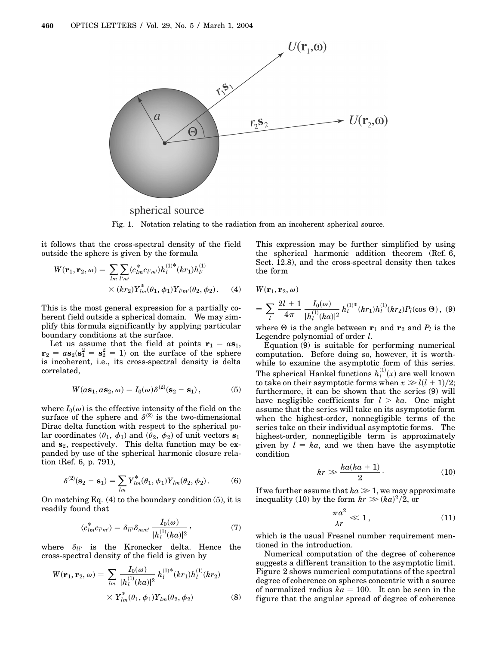

spherical source Fig. 1. Notation relating to the radiation from an incoherent spherical source.

it follows that the cross-spectral density of the field outside the sphere is given by the formula

$$
W(\mathbf{r}_1, \mathbf{r}_2, \omega) = \sum_{lm} \sum_{l'm'} \langle c_{lm}^* c_{l'm'} \rangle h_l^{(1)*}(kr_1) h_{l'}^{(1)}
$$
  
 
$$
\times (kr_2) Y_{lm}^*(\theta_1, \phi_1) Y_{l'm'}(\theta_2, \phi_2).
$$
 (4)

This is the most general expression for a partially coherent field outside a spherical domain. We may simplify this formula significantly by applying particular boundary conditions at the surface.

Let us assume that the field at points  $\mathbf{r}_1 = a\mathbf{s}_1$ ,  $\mathbf{r}_2 = a\mathbf{s}_2(\mathbf{s}_1^2 = \mathbf{s}_2^2 = 1)$  on the surface of the sphere is incoherent, i.e., its cross-spectral density is delta correlated,

$$
W(a\mathbf{s}_1, a\mathbf{s}_2, \omega) = I_0(\omega)\delta^{(2)}(\mathbf{s}_2 - \mathbf{s}_1), \tag{5}
$$

where  $I_0(\omega)$  is the effective intensity of the field on the surface of the sphere and  $\delta^{(2)}$  is the two-dimensional Dirac delta function with respect to the spherical polar coordinates  $(\theta_1, \phi_1)$  and  $(\theta_2, \phi_2)$  of unit vectors **s**<sub>1</sub> and **s**2, respectively. This delta function may be expanded by use of the spherical harmonic closure relation (Ref. 6, p. 791),

$$
\delta^{(2)}(\mathbf{s}_2 - \mathbf{s}_1) = \sum_{lm} Y^*_{lm}(\theta_1, \phi_1) Y_{lm}(\theta_2, \phi_2).
$$
 (6)

On matching Eq.  $(4)$  to the boundary condition  $(5)$ , it is readily found that

$$
\langle c_{lm}^* c_{l'm'} \rangle = \delta_{ll'} \delta_{mm'} \frac{I_0(\omega)}{|h_l^{(1)}(ka)|^2}, \qquad (7)
$$

where  $\delta_{ll'}$  is the Kronecker delta. Hence the cross-spectral density of the field is given by

$$
W(\mathbf{r}_1, \mathbf{r}_2, \omega) = \sum_{lm} \frac{I_0(\omega)}{|h_l^{(1)}(ka)|^2} h_l^{(1)*}(kr_1) h_l^{(1)}(kr_2)
$$
  
 
$$
\times Y_{lm}^*(\theta_1, \phi_1) Y_{lm}(\theta_2, \phi_2)
$$
 (8)

This expression may be further simplified by using the spherical harmonic addition theorem (Ref. 6, Sect. 12.8), and the cross-spectral density then takes the form

$$
W(\mathbf{r}_1,\mathbf{r}_2,\omega)
$$

$$
= \sum_{l} \frac{2l+1}{4\pi} \frac{I_0(\omega)}{|h_l^{(1)}(ka)|^2} h_l^{(1)*}(kr_1)h_l^{(1)}(kr_2)P_l(\cos\Theta), (9)
$$

where  $\Theta$  is the angle between  $\mathbf{r}_1$  and  $\mathbf{r}_2$  and  $P_l$  is the Legendre polynomial of order *l*.

Equation (9) is suitable for performing numerical computation. Before doing so, however, it is worthwhile to examine the asymptotic form of this series. The spherical Hankel functions  $h_l^{(1)}(x)$  are well known to take on their asymptotic forms when  $x \gg l(l + 1)/2$ ; furthermore, it can be shown that the series (9) will have negligible coefficients for  $l > ka$ . One might assume that the series will take on its asymptotic form when the highest-order, nonnegligible terms of the series take on their individual asymptotic forms. The highest-order, nonnegligible term is approximately given by  $l = ka$ , and we then have the asymptotic condition

$$
kr \gg \frac{ka(ka+1)}{2}.
$$
 (10)

If we further assume that  $ka \gg 1$ , we may approximate inequality (10) by the form  $kr \gg (ka)^2/2$ , or

$$
\frac{\pi a^2}{\lambda r} \ll 1, \tag{11}
$$

which is the usual Fresnel number requirement mentioned in the introduction.

Numerical computation of the degree of coherence suggests a different transition to the asymptotic limit. Figure 2 shows numerical computations of the spectral degree of coherence on spheres concentric with a source of normalized radius  $ka = 100$ . It can be seen in the figure that the angular spread of degree of coherence